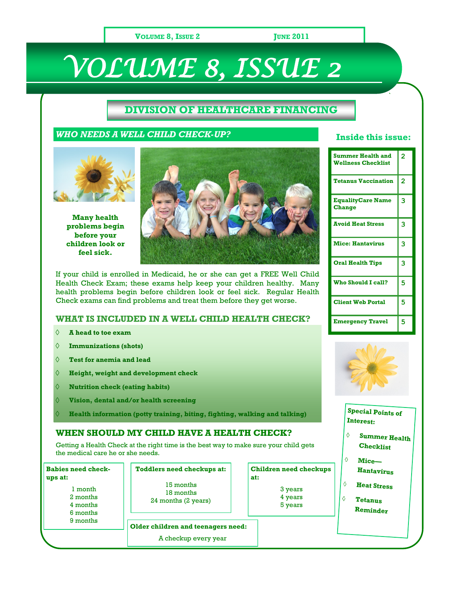#### **VOLUME 8, ISSUE 2 JUNE 2011**

# *VOLUME 8, ISSUE 2*

### **DIVISION OF HEALTHCARE FINANCING**

#### *WHO NEEDS A WELL CHILD CHECK-UP?*



**Many health problems begin before your children look or feel sick.**



If your child is enrolled in Medicaid, he or she can get a FREE Well Child Health Check Exam; these exams help keep your children healthy. Many health problems begin before children look or feel sick. Regular Health Check exams can find problems and treat them before they get worse.

#### **WHAT IS INCLUDED IN A WELL CHILD HEALTH CHECK?**

- $\Diamond$ **A head to toe exam**
- **Immunizations (shots)** ♦
- $\Diamond$ **Test for anemia and lead**
- $\Diamond$ **Height, weight and development check**
- **Nutrition check (eating habits)**  $\Diamond$
- $\Diamond$ **Vision, dental and/or health screening**
- **Health information (potty training, biting, fighting, walking and talking)**

#### **WHEN SHOULD MY CHILD HAVE A HEALTH CHECK?**

Getting a Health Check at the right time is the best way to make sure your child gets the medical care he or she needs.

| <b>Babies need check-</b><br>ups at:<br>1 month<br>2 months<br>4 months<br>6 months<br>9 months | <b>Toddlers need checkups at:</b><br>15 months<br>18 months<br>24 months (2 years) | <b>Children need checkups</b><br>at:<br>3 years<br>4 years<br>5 years | Hantavirus<br><b>Heat Stress</b><br>Tetanus<br>Reminder |
|-------------------------------------------------------------------------------------------------|------------------------------------------------------------------------------------|-----------------------------------------------------------------------|---------------------------------------------------------|
|                                                                                                 | Older children and teenagers need:<br>A checkup every year                         |                                                                       |                                                         |

#### **Inside this issue:**

`

| Summer Health and<br><b>Wellness Checklist</b> | 2              |
|------------------------------------------------|----------------|
| <b>Tetanus Vaccination</b>                     | $\overline{2}$ |
| <b>EqualityCare Name</b><br><b>Change</b>      | 3              |
| <b>Avoid Heat Stress</b>                       | 3              |
| <b>Mice: Hantavirus</b>                        | 3              |
| <b>Oral Health Tips</b>                        | 3              |
| Who Should I call?                             | 5              |
| <b>Client Web Portal</b>                       | 5              |
| <b>Emergency Travel</b>                        | 5              |



#### **Special Points of Interest:**

- **Summer Health Checklist**
- **Mice—**

 $\Diamond$ 

 $\triangle$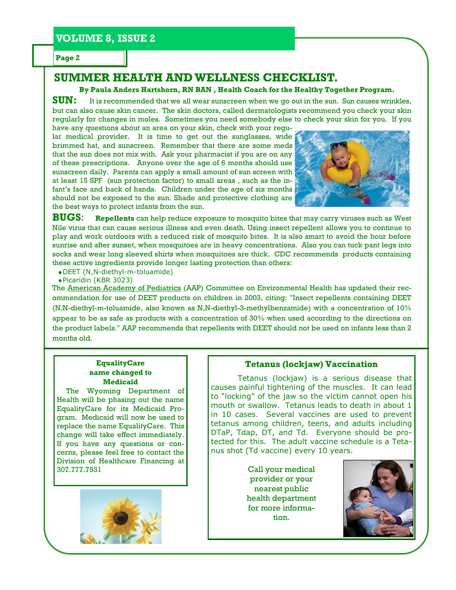**Page 2**

# **SUMMER HEALTH AND WELLNESS CHECKLIST.**

#### **By Paula Anders Hartshorn, RN BAN , Health Coach for the Healthy Together Program.**

**SUN:** It is recommended that we all wear sunscreen when we go out in the sun. Sun causes wrinkles, but can also cause skin cancer. The skin doctors, called dermatologists recommend you check your skin regularly for changes in moles. Sometimes you need somebody else to check your skin for you. If you have any questions about an area on your skin, check with your regu-

lar medical provider. It is time to get out the sunglasses, wide brimmed hat, and sunscreen. Remember that there are some meds that the sun does not mix with. Ask your pharmacist if you are on any of these prescriptions. Anyone over the age of 6 months should use sunscreen daily. Parents can apply a small amount of sun screen with at least 15 SPF (sun protection factor) to small areas , such as the infant's face and back of hands. Children under the age of six months should not be exposed to the sun. Shade and protective clothing are the best ways to protect infants from the sun.



**BUGS**: **Repellents** can help reduce exposure to mosquito bites that may carry viruses such as West Nile virus that can cause serious illness and even death. Using insect repellent allows you to continue to play and work outdoors with a reduced risk of mosquito bites. It is also smart to avoid the hour before sunrise and after sunset, when mosquitoes are in heavy concentrations. Also you can tuck pant legs into socks and wear long sleeved shirts when mosquitoes are thick. CDC recommends products containing these active ingredients provide longer lasting protection than others:

DEET (N,N-diethyl-m-toluamide)

Picaridin (KBR 3023)

The [American Academy of Pediatrics](http://www.bt.cdc.gov/cdclinkdisclaimer.asp?a_gotolink=http://www.aap.org/family/wnv-jun03.htm) (AAP) Committee on Environmental Health has updated their recommendation for use of DEET products on children in 2003, citing: "Insect repellents containing DEET (N,N-diethyl-m-toluamide, also known as N,N-diethyl-3-methylbenzamide) with a concentration of 10% appear to be as safe as products with a concentration of 30% when used according to the directions on the product labels." AAP recommends that repellents with DEET should not be used on infants less than 2 months old.

#### **EqualityCare name changed to Medicaid**

 The Wyoming Department of Health will be phasing out the name EqualityCare for its Medicaid Program. Medicaid will now be used to replace the name EqualityCare. This change will take effect immediately. If you have any questions or concerns, please feel free to contact the Division of Healthcare Financing at 307.777.7531



#### **Tetanus (lockjaw) Vaccination**

Tetanus (lockjaw) is a serious disease that causes painful tightening of the muscles. It can lead to "locking" of the jaw so the victim cannot open his mouth or swallow. Tetanus leads to death in about 1 in 10 cases. Several vaccines are used to prevent tetanus among children, teens, and adults including DTaP, Tdap, DT, and Td. Everyone should be protected for this. The adult vaccine schedule is a Tetanus shot (Td vaccine) every 10 years.

> Call your medical provider or your nearest public health department for more information.

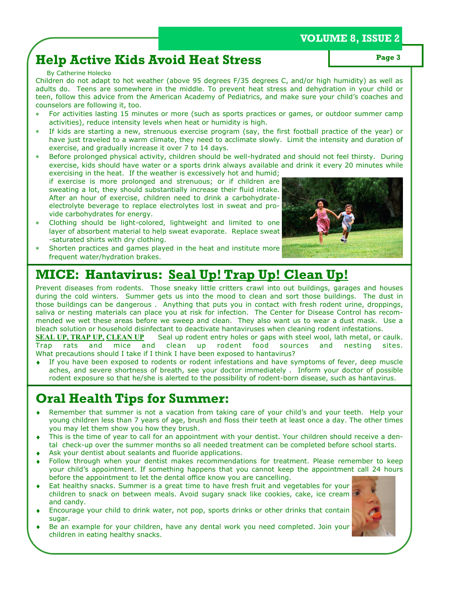# **VOLUME 8, ISSUE 2**

# **Help Active Kids Avoid Heat Stress Page 3**

#### By Catherine Holecko

Children do not adapt to hot weather (above 95 degrees F/35 degrees C, and/or high humidity) as well as adults do. Teens are somewhere in the middle. To prevent heat stress and dehydration in your child or teen, follow this advice from the American Academy of Pediatrics, and make sure your child's coaches and counselors are following it, too.

- For activities lasting 15 minutes or more (such as sports practices or games, or outdoor summer camp activities), reduce intensity levels when heat or humidity is high.
- If kids are starting a new, strenuous exercise program (say, the first football practice of the year) or have just traveled to a warm climate, they need to acclimate slowly. Limit the intensity and duration of exercise, and gradually increase it over 7 to 14 days.
- Before prolonged physical activity, children should be well-hydrated and should not feel thirsty. During exercise, kids should have water or a sports drink always available and drink it every 20 minutes while exercising in the heat. If the weather is excessively hot and humid;

if exercise is more prolonged and strenuous; or if children are sweating a lot, they should substantially increase their fluid intake. After an hour of exercise, children need to drink a carbohydrateelectrolyte beverage to replace electrolytes lost in sweat and provide carbohydrates for energy.

- Clothing should be light-colored, lightweight and limited to one layer of absorbent material to help sweat evaporate. Replace sweat -saturated shirts with dry clothing.
- Shorten practices and games played in the heat and institute more frequent water/hydration brakes.



# **MICE: Hantavirus: Seal Up! Trap Up! Clean Up!**

Prevent diseases from rodents. Those sneaky little critters crawl into out buildings, garages and houses during the cold winters. Summer gets us into the mood to clean and sort those buildings. The dust in those buildings can be dangerous . Anything that puts you in contact with fresh rodent urine, droppings, saliva or nesting materials can place you at risk for infection. The Center for Disease Control has recommended we wet these areas before we sweep and clean. They also want us to wear a dust mask. Use a bleach solution or household disinfectant to deactivate hantaviruses when cleaning rodent infestations.

**[SEAL UP, TRAP UP,](http://www.cdc.gov/rodents/) [CLEAN UP](http://www.cdc.gov/ncidod/diseases/hanta/hps_stc/stc_spot.htm)** Seal up rodent entry holes or gaps with steel wool, lath metal, or caulk. Trap rats and mice and clean up rodent food sources and nesting sites. What precautions should I take if I think I have been exposed to hantavirus?

If you have been exposed to rodents or rodent infestations and have symptoms of fever, deep muscle aches, and severe shortness of breath, see your doctor immediately . Inform your doctor of possible rodent exposure so that he/she is alerted to the possibility of rodent-born disease, such as hantavirus.

# **Oral Health Tips for Summer:**

- Remember that summer is not a vacation from taking care of your child's and your teeth. Help your young children less than 7 years of age, brush and floss their teeth at least once a day. The other times you may let them show you how they brush.
- This is the time of year to call for an appointment with your dentist. Your children should receive a dental check-up over the summer months so all needed treatment can be completed before school starts.
- Ask your dentist about sealants and fluoride applications.
- Follow through when your dentist makes recommendations for treatment. Please remember to keep your child's appointment. If something happens that you cannot keep the appointment call 24 hours before the appointment to let the dental office know you are cancelling.
- Eat healthy snacks. Summer is a great time to have fresh fruit and vegetables for your children to snack on between meals. Avoid sugary snack like cookies, cake, ice cream and candy.
- Encourage your child to drink water, not pop, sports drinks or other drinks that contain sugar.
- Be an example for your children, have any dental work you need completed. Join your children in eating healthy snacks.

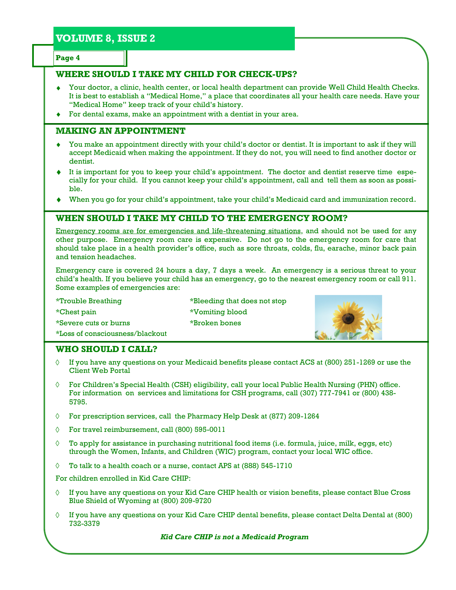# **VOLUME 8, ISSUE 2**

**Page 4**

### **WHERE SHOULD I TAKE MY CHILD FOR CHECK-UPS?**

- Your doctor, a clinic, health center, or local health department can provide Well Child Health Checks. It is best to establish a "Medical Home," a place that coordinates all your health care needs. Have your "Medical Home" keep track of your child's history.
- For dental exams, make an appointment with a dentist in your area.

#### **MAKING AN APPOINTMENT**

- You make an appointment directly with your child's doctor or dentist. It is important to ask if they will  $\blacklozenge$ accept Medicaid when making the appointment. If they do not, you will need to find another doctor or dentist.
- It is important for you to keep your child's appointment. The doctor and dentist reserve time especially for your child. If you cannot keep your child's appointment, call and tell them as soon as possible.
- When you go for your child's appointment, take your child's Medicaid card and immunization record.

#### **WHEN SHOULD I TAKE MY CHILD TO THE EMERGENCY ROOM?**

Emergency rooms are for emergencies and life-threatening situations, and should not be used for any other purpose. Emergency room care is expensive. Do not go to the emergency room for care that should take place in a health provider's office, such as sore throats, colds, flu, earache, minor back pain and tension headaches.

Emergency care is covered 24 hours a day, 7 days a week. An emergency is a serious threat to your child's health. If you believe your child has an emergency, go to the nearest emergency room or call 911. Some examples of emergencies are:

\*Trouble Breathing \*Bleeding that does not stop \*Chest pain \*Vomiting blood \*Severe cuts or burns \*Broken bones \*Loss of consciousness/blackout



#### **WHO SHOULD I CALL?**

- If you have any questions on your Medicaid benefits please contact ACS at (800) 251-1269 or use the  $\Diamond$ Client Web Portal
- For Children's Special Health (CSH) eligibility, call your local Public Health Nursing (PHN) office.  $\Diamond$ For information on services and limitations for CSH programs, call (307) 777-7941 or (800) 438- 5795.
- $\Diamond$ For prescription services, call the Pharmacy Help Desk at (877) 209-1264
- ♦ For travel reimbursement, call (800) 595-0011
- To apply for assistance in purchasing nutritional food items (i.e. formula, juice, milk, eggs, etc)  $\Diamond$ through the Women, Infants, and Children (WIC) program, contact your local WIC office.
- To talk to a health coach or a nurse, contact APS at (888) 545-1710  $\Diamond$

For children enrolled in Kid Care CHIP:

- If you have any questions on your Kid Care CHIP health or vision benefits, please contact Blue Cross ♦ Blue Shield of Wyoming at (800) 209-9720
- $\Diamond$ If you have any questions on your Kid Care CHIP dental benefits, please contact Delta Dental at (800) 732-3379

*Kid Care CHIP is not a Medicaid Program*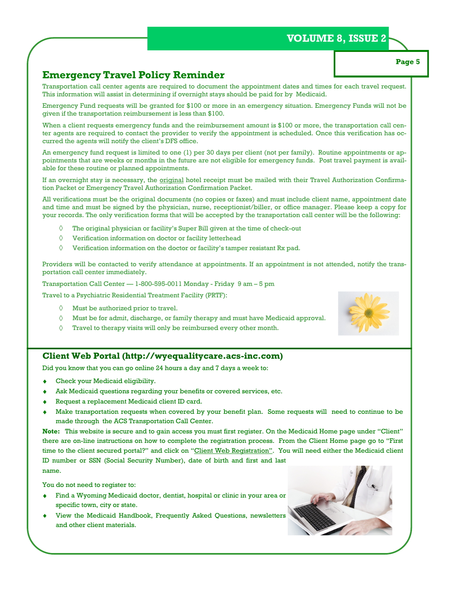### **VOLUME 8, ISSUE 2**

### **Emergency Travel Policy Reminder**

Transportation call center agents are required to document the appointment dates and times for each travel request. This information will assist in determining if overnight stays should be paid for by Medicaid.

Emergency Fund requests will be granted for \$100 or more in an emergency situation. Emergency Funds will not be given if the transportation reimbursement is less than \$100.

When a client requests emergency funds and the reimbursement amount is \$100 or more, the transportation call center agents are required to contact the provider to verify the appointment is scheduled. Once this verification has occurred the agents will notify the client's DFS office.

An emergency fund request is limited to one (1) per 30 days per client (not per family). Routine appointments or appointments that are weeks or months in the future are not eligible for emergency funds. Post travel payment is available for these routine or planned appointments.

If an overnight stay is necessary, the original hotel receipt must be mailed with their Travel Authorization Confirmation Packet or Emergency Travel Authorization Confirmation Packet.

All verifications must be the original documents (no copies or faxes) and must include client name, appointment date and time and must be signed by the physician, nurse, receptionist/biller, or office manager. Please keep a copy for your records. The only verification forms that will be accepted by the transportation call center will be the following:

- The original physician or facility's Super Bill given at the time of check-out
- $\Diamond$ Verification information on doctor or facility letterhead
- $\Diamond$ Verification information on the doctor or facility's tamper resistant Rx pad.

Providers will be contacted to verify attendance at appointments. If an appointment is not attended, notify the transportation call center immediately.

Transportation Call Center — 1-800-595-0011 Monday - Friday 9 am – 5 pm

Travel to a Psychiatric Residential Treatment Facility (PRTF):

- $\Diamond$  Must be authorized prior to travel.
- $\Diamond$  Must be for admit, discharge, or family therapy and must have Medicaid approval.
- Travel to therapy visits will only be reimbursed every other month.  $\Diamond$

#### **Client Web Portal (http://wyequalitycare.acs-inc.com)**

Did you know that you can go online 24 hours a day and 7 days a week to:

- Check your Medicaid eligibility.
- Ask Medicaid questions regarding your benefits or covered services, etc.
- Request a replacement Medicaid client ID card.
- Make transportation requests when covered by your benefit plan. Some requests will need to continue to be made through the ACS Transportation Call Center.

**Note:** This website is secure and to gain access you must first register. On the Medicaid Home page under "Client" there are on-line instructions on how to complete the registration process. From the Client Home page go to "First time to the client secured portal?" and click on "Client Web Registration". You will need either the Medicaid client ID number or SSN (Social Security Number), date of birth and first and last name.

You do not need to register to:

- Find a Wyoming Medicaid doctor, dentist, hospital or clinic in your area or specific town, city or state.
- View the Medicaid Handbook, Frequently Asked Questions, newsletters and other client materials.







**Page 5**